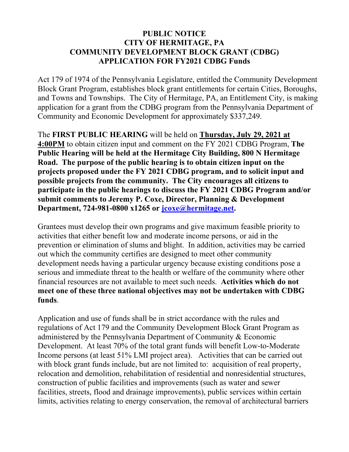## **PUBLIC NOTICE CITY OF HERMITAGE, PA COMMUNITY DEVELOPMENT BLOCK GRANT (CDBG) APPLICATION FOR FY2021 CDBG Funds**

Act 179 of 1974 of the Pennsylvania Legislature, entitled the Community Development Block Grant Program, establishes block grant entitlements for certain Cities, Boroughs, and Towns and Townships. The City of Hermitage, PA, an Entitlement City, is making application for a grant from the CDBG program from the Pennsylvania Department of Community and Economic Development for approximately \$337,249.

The **FIRST PUBLIC HEARING** will be held on **Thursday, July 29, 2021 at 4:00PM** to obtain citizen input and comment on the FY 2021 CDBG Program, **The Public Hearing will be held at the Hermitage City Building, 800 N Hermitage Road. The purpose of the public hearing is to obtain citizen input on the projects proposed under the FY 2021 CDBG program, and to solicit input and possible projects from the community. The City encourages all citizens to participate in the public hearings to discuss the FY 2021 CDBG Program and/or submit comments to Jeremy P. Coxe, Director, Planning & Development Department, 724-981-0800 x1265 or jcoxe@hermitage.net.** 

Grantees must develop their own programs and give maximum feasible priority to activities that either benefit low and moderate income persons, or aid in the prevention or elimination of slums and blight. In addition, activities may be carried out which the community certifies are designed to meet other community development needs having a particular urgency because existing conditions pose a serious and immediate threat to the health or welfare of the community where other financial resources are not available to meet such needs. **Activities which do not meet one of these three national objectives may not be undertaken with CDBG funds**.

Application and use of funds shall be in strict accordance with the rules and regulations of Act 179 and the Community Development Block Grant Program as administered by the Pennsylvania Department of Community & Economic Development. At least 70% of the total grant funds will benefit Low-to-Moderate Income persons (at least 51% LMI project area). Activities that can be carried out with block grant funds include, but are not limited to: acquisition of real property, relocation and demolition, rehabilitation of residential and nonresidential structures, construction of public facilities and improvements (such as water and sewer facilities, streets, flood and drainage improvements), public services within certain limits, activities relating to energy conservation, the removal of architectural barriers